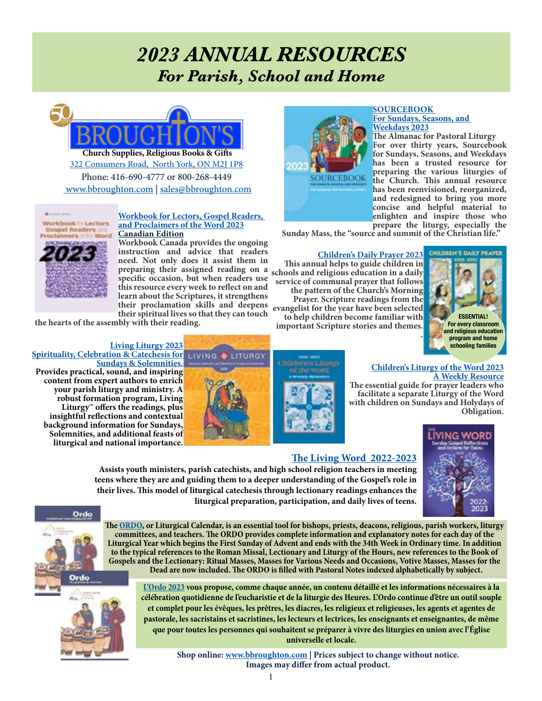# *2023 ANNUAL RESOURCES For Parish, School and Home*

2OZ



**Church Supplies, Religious Books & Gifts** Phone: 416-690-4777 or 800-268-4449 <www.bbroughton.com> | [sales@bbroughton.com](mailto:sales%40bbroughton.com?subject=Annuals) [322 Consumers Road, North York, ON M2J 1P8](https://goo.gl/maps/2H8zHxSSQUcTA1oPA)



## **[Workbook for Lectors, Gospel Readers,](https://www.bbroughton.com/product/ST/wl23c/workbook-for-lectors-canada-2023)  [and Proclaimers of the Word 2023](https://www.bbroughton.com/product/ST/wl23c/workbook-for-lectors-canada-2023) [Canadian Edition](https://www.bbroughton.com/product/ST/wl23c/workbook-for-lectors-canada-2023)**

**[W](https://www.bbroughton.com/product/ST/wl23c/workbook-for-lectors-canada-2023)orkbook Canada provides the ongoing instruction and advice that readers need. Not only does it assist them in preparing their assigned reading on a This annual helps to guide children in specific occasion, but when readers use this resource every week to reflect on and learn about the Scriptures, it strengthens their proclamation skills and deepens their spiritual lives so that they can touch** 

**the hearts of the assembly with their reading.**

## **[Living Liturgy 2023](https://www.bbroughton.com/product/ST/9780814666081/living-liturgy)**

**[Spirituality, Celebration & Catechesis for](https://www.bbroughton.com/product/ST/9780814666081/living-liturgy)  [Sundays & Solemnities.](https://www.bbroughton.com/product/ST/9780814666081/living-liturgy) Provides practical, sound, and inspiring content from expert authors to enrich your parish liturgy and ministry. A robust formation program, Living Liturgy™ offers the readings, plus insightful reflections and contextual background information for Sundays, Solemnities, and additional feasts o[f](https://www.bbroughton.com/product/ST/9780814666081/living-liturgy)  liturgical and national importance.** 







**The Almanac for Pastoral Liturgy For over thirty years, Sourcebook for Sundays, Seasons, and Weekdays has been a trusted resource for preparing the various liturgies of the Church. This annual resource has been reenvisioned, reorganized, and redesigned to bring you more concise and helpful material to enlighten and inspire those who prepare the liturgy, especially the** 

**Sunday Mass, the "source and summit of the Christian life."** 

## **[Children's Daily Prayer 2023](https://www.bbroughton.com/product/ST/cdp23/children-s-daily-prayer-2023)**<br>This annual helps to guide children in **schools and religious education in a daily service of communal prayer that follows the pattern of the Church's Morning Prayer. Scripture readings from the evangelist for the year have been selected**

**SOURCEBOOK** 

**to help children become familiar with important Scripture stories and themes.** *.*



## **[Children's Liturgy of the Word 2023](https://www.bbroughton.com/product/ST/clw23/childrens-liturgy-word-2023) [A Weekly Resource](https://www.bbroughton.com/product/ST/clw23/childrens-liturgy-word-2023)**

**The essential guide for prayer leaders who facilitate a separate Liturgy of the Word with children on Sundays and Holydays of Obligation.** 



## **[The Living Word 2022-2023](https://www.bbroughton.com/product/ST/lwgr23/living-word-sunday-gospel-reflections-actions-for-teens-2023)**

**Assists youth ministers, parish catechists, and high school religion teachers in meeting teens where they are and guiding them to a deeper understanding of the Gospel's role in their lives. This model of liturgical catechesis through lectionary readings enhances the liturgical preparation, participation, and daily lives of teens.**



**The [ORDO,](https://www.bbroughton.com/product/ST/ccc-242/ordo-english-2022-2023) or Liturgical Calendar, is an essential tool for bishops, priests, deacons, religious, parish workers, liturgy committees, and teachers. The ORDO provides complete information and explanatory notes for each day of the Liturgical Year which begins the First Sunday of Advent and ends with the 34th Week in Ordinary time. In addition to the typical references to the Roman Missal, Lectionary and Liturgy of the Hours, new references to the Book of Gospels and the Lectionary: Ritual Masses, Masses for Various Needs and Occasions, Votive Masses, Masses for the Dead are now included. The ORDO is filled with Pastoral Notes indexed alphabetically by subject.** 



**[L'Ordo 2023](https://www.bbroughton.com/product/ST/ccc-243/ordo-calendrier-pour-l-annee-liturgique-2022-2023) vous propose, comme chaque année, un contenu détaillé et les informations nécessaires à la célébration quotidienne de l'eucharistie et de la liturgie des Heures. L'Ordo continue d'être un outil souple et complet pour les évêques, les prêtres, les diacres, les religieux et religieuses, les agents et agentes de pastorale, les sacristains et sacristines, les lecteurs et lectrices, les enseignants et enseignantes, de même que pour toutes les personnes qui souhaitent se préparer à vivre des liturgies en union avec l'Église universelle et locale.** 

> **Shop online: <www.bbroughton.com> | Prices subject to change without notice. Images may differ from actual product.**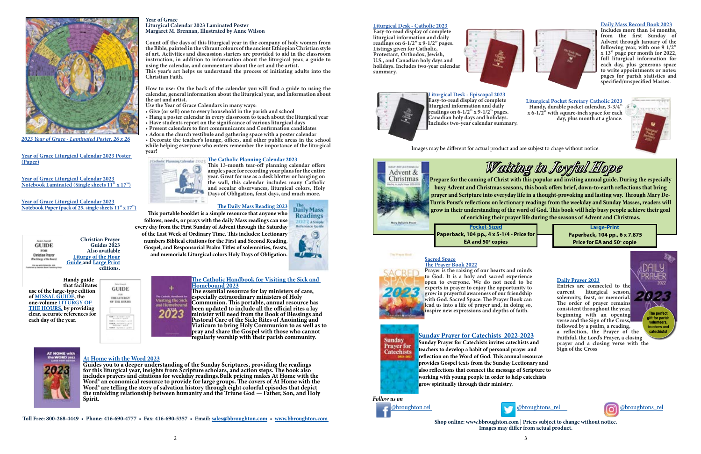**Year of Grace**

**Liturgical Calendar 2023 Laminated Poster Margaret M. Brennan, Illustrated by Anne Wilson**

**Count off the days of this liturgical year in the company of holy women from the Bible, painted in the vibrant colours of the ancient Ethiopian Christian style of art. Activities and discussion starters are provided to aid in the classroom instruction, in addition to information about the liturgical year, a guide to** 

**using the calendar, and commentary about the art and the artist.**

**This year's art helps us understand the process of initiating adults into the** 

**Christian Faith.**

**How to use: On the back of the calendar you will find a guide to using the calendar, general information about the liturgical year, and information about** 

**the art and artist.** 

**Use the Year of Grace Calendars in many ways:**

**• Give (or sell) one to every household in the parish and school**

**• Hang a poster calendar in every classroom to teach about the liturgical year** 

**• Have students report on the significance of various liturgical days • Present calendars to first communicants and Confirmation candidates • Adorn the church vestibule and gathering space with a poster calendar • Decorate the teacher's lounge, offices, and other public areas in the school while helping everyone who enters remember the importance of the liturgical** 

*[The Catholic Planning Calendar 2023](https://www.bbroughton.com/product/ST/pc23/catholic-planning-calendar-2023)* **The Catholic Planning Calendar 2023** 

**year!**

**This 13-month tear-off planning calendar offers ample space for recording your plans for the entire year. Great for use as a desk blotter or hanging on the wall, this calendar includes many Catholic and secular observances, liturgical colors, Holy Days of Obligation, feast days, and much more.**

> **Daily Mass Readings** 2022 A Simple

**Reference Gui** 

**[The Catholic Handbook for Visiting the Sick and](https://www.bbroughton.com/product/ST/vs23/visiting-sick-and-homebound-2023)  [Homebound 2023](https://www.bbroughton.com/product/ST/vs23/visiting-sick-and-homebound-2023)**

**The essential resource for lay ministers of care, especially extraordinary ministers of Holy Communion. This portable, annual resource has been updated to include all the official rites a lay minister will need from the Book of Blessings and Pastoral Care of the Sick: Rites of Anointing and Viaticum to bring Holy Communion to as well as to pray and share the Gospel with those who cannot regularly worship with their parish community.**



Entries are connected to the current liturgical season, liturgical season, **solemnity, feast, or memorial. The order of prayer remains consistent throughout the year, beginning with an opening verse and the Sign of the Cross, followed by a psalm, a reading, a reflection, the Prayer of the Faithful, the Lord's Prayer, a closing prayer and a closing verse with the Sign of the Cross** 

### The Freem Block **[Sacred Space](https://www.bbroughton.com/product/ST/nov-ss2023/2023-sacred-space-prayer-book) [The Prayer Book 2022](https://www.bbroughton.com/product/ST/nov-ss2023/2023-sacred-space-prayer-book)**



**Toll Free: 800-268-4449 • Phone: 416-690-4777 • Fax: 416-690-5357 • Email: [sales@bbroughton.com](mailto:sales%40bbroughton.com?subject=Annuals) • <www.bbroughton.com>** 

## **[Daily Mass Record Book 2023](https://www.bbroughton.com/product/ST/fra-dmr-23/registers-record-books-2023-daily-mass-record)**

**Includes more than 14 months, from the first Sunday of Advent through January of the following year, with one 9 1/2" x 13" page per month for 2022, full liturgical information for each day, plus generous space to write appointments or notes: pages for parish statistics and specified/unspecified Masses.**

*Follow us on* 





**[Liturgical Desk - Episcopal 2023](https://www.bbroughton.com/product/ST/fra-ldc-23-epi/calendar-2023-liturgical-desk-calendar-episcopal) Easy-to-read display of complete liturgical information and daily readings on 6-1/2" x 9-1/2" pages. Canadian holy days and holidays. Includes two-year calendar summary.** 

## **[Liturgical Desk - Catholic 2023](https://www.bbroughton.com/product/ST/fra-ldc-23-cath/calendar-2023-liturgical-desk-catholic)**

**Easy-to-read display of complete liturgical information and daily readings on 6-1/2" x 9-1/2" pages. Listings given for Catholic, Protestant, Orthodox, Jewish, U.S., and Canadian holy days and holidays. Includes two-year calendar summary.** 





Images may be different for actual product and are subjest to chage without notice.



| <b>Christian Prayer</b><br>Guides 2023<br><b>GUIDE</b><br>Also available<br>wichan Pro<br><b>Liturgy of the Hour</b><br><b>Guide and Large Print</b><br>editions. |
|-------------------------------------------------------------------------------------------------------------------------------------------------------------------|
|-------------------------------------------------------------------------------------------------------------------------------------------------------------------|

**Handy guide that facilitates use of the large-type edition of [MISSAL GUIDE,](https://www.bbroughton.com/product/ST/cbp-920g-2023/annual-missal-guide-2023) the one-volume [LITURGY OF](https://www.bbroughton.com/product/ST/cbp-709-2023/liturgy-of-the-hours-guide-large-print-2023)  [THE HOURS,](https://www.bbroughton.com/product/ST/cbp-709-2023/liturgy-of-the-hours-guide-large-print-2023) by providing clear, accurate references for each day of the year.**

**GUIDE**  $\stackrel{758}{\scriptstyle\rm{758}$  LIIURGY OF THE HOURS



**[Large-Print](https://www.bbroughton.com/product/ST/9780814666920/waiting-in-joyful-hope-large-print-2022-2023) Paperback, 104 pp., 6 x 7.875 Price for EA and 50<sup>+</sup> copie** 

## **[Daily Prayer 2023](https://www.bbroughton.com/product/ST/dp23/daily-prayer-2023)**

**Prayer is the raising of our hearts and minds to God. It is a holy and sacred experience open to everyone. We do not need to be experts in prayer to enjoy the opportunity to grow in prayerful awareness of our friendship with God. Sacred Space: The Prayer Book can lead us into a life of prayer and, in doing so, inspire new expressions and depths of faith.**



**[Liturgical Pocket Scretary Catholic 2023](https://www.bbroughton.com/product/ST/fra-2023lps/calendar-2023-liturgical-pocket-secretary-catholic-ea) Handy, durable pocket calendar, 3-3/4" x 6-1/2" with square-inch space for each day, plus month at a glance.**



**[The Daily Mass Reading 2023](https://www.bbroughton.com/product/ST/dmr23/the-daily-mass-readings-2023)**

**This portable booklet is a simple resource that anyone who follows, needs, or prays with the daily Mass readings can use every day from the First Sunday of Advent through the Saturday of the Last Week of Ordinary Time. This includes: Lectionar[y](https://www.bbroughton.com/product/ST/dmr23/the-daily-mass-readings-2023)  numbers Biblical citations for the First and Second Reading, Gospel, and Responsorial Psalm Titles of solemnities, feasts, and memorials Liturgical colors Holy Days of Obligation.** 



*[2023 Year of Grace - Laminated Poster, 26 x 26](https://www.bbroughton.com/product/ST/yg23ll/year-of-grace-calendar-large-laminated-2023)*

**[Year of Grace Liturgical Calendar 2023 Poster](https://www.bbroughton.com/product/ST/yg23lp/year-of-grace-calendar-large-paper-2023)  [\(Paper\)](https://www.bbroughton.com/product/ST/yg23lp/year-of-grace-calendar-large-paper-2023)**

**[Year of Grace Liturgical Calendar 2023](https://www.bbroughton.com/product/ST/yg23sl/year-of-grace-calendar-small-laiminated-2023) [Notebook Laminated \(Single sheets 11" x 17"\)](https://www.bbroughton.com/product/ST/yg23sl/year-of-grace-calendar-small-laiminated-2023)**

**[Year of Grace Liturgical Calendar 2023](https://www.bbroughton.com/product/ST/yg23sp/year-of-grace-calendar-small-paper-pack-25-2023) [Notebook Paper \(pack of 25, single sheets 11" x 17"\)](https://www.bbroughton.com/product/ST/yg23sp/year-of-grace-calendar-small-paper-pack-25-2023)**

> **[Sunday Prayer for Catechists 2022-2023](https://www.bbroughton.com/product/ST/spc23/sunday-prayer-for-catechists-2023) Sunday Prayer for Catechists invites catechists and teachers to develop a habit of personal prayer and reflection on the Word of God. This annual resource provides Gospel texts from the Sunday Lectionary and also reflections that connect the message of Scripture to working with young people in order to help catechists grow spiritually through their ministry.**

## **[At Home with the Word 2023](https://www.bbroughton.com/product/ST/ahw23/at-home-with-the-word-2023)**

**Guides you to a deeper understanding of the Sunday Scriptures, providing the readings for this liturgical year, insights from Scripture scholars, and action steps. The book also includes prayers and citations for weekday readings.Bulk pricing makes At Home with the Word® an economical resource to provide for large groups. The covers of At Home with the Word® are telling the story of salvation history through eight colorful episodes that depict the unfolding relationship between humanity and the Triune God — Father, Son, and Holy Spirit.** 

**Prepare for the coming of Christ with this popular and inviting annual guide. During the especially busy Advent and Christmas seasons, this book offers brief, down-to-earth reflections that bring prayer and Scripture into everyday life in a thought-provoking and lasting way. Through Mary De-Turris Poust's reflections on lectionary readings from the weekday and Sunday Masses, readers will grow in their understanding of the word of God. This book will help busy people achieve their goal of enriching their prayer life during the seasons of Advent and Christmas. [Pocket-Sized](https://www.bbroughton.com/product/ST/9780814666913/waiting-in-joyful-hope-standard-print-2022-2023)**

*Waiting in Joyful Hope*



**Paperback, 104 pp., 4 x 5-1/4 - Price for EA and 50+ copies**

**Shop online: www.bbroughton.com | Prices subject to change without notice. Images may differ from actual product.**